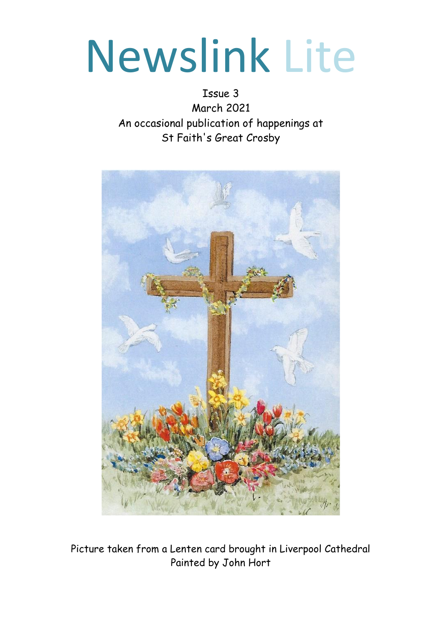# Newslink Lite

Issue 3 March 2021 An occasional publication of happenings at St Faith's Great Crosby



Picture taken from a Lenten card brought in Liverpool Cathedral Painted by John Hort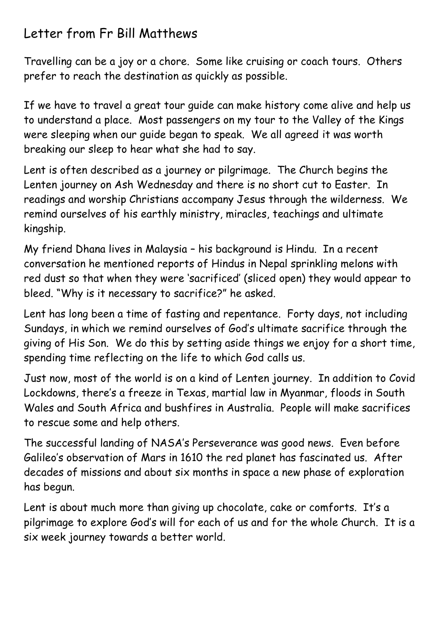### Letter from Fr Bill Matthews

Travelling can be a joy or a chore. Some like cruising or coach tours. Others prefer to reach the destination as quickly as possible.

If we have to travel a great tour guide can make history come alive and help us to understand a place. Most passengers on my tour to the Valley of the Kings were sleeping when our guide began to speak. We all agreed it was worth breaking our sleep to hear what she had to say.

Lent is often described as a journey or pilgrimage. The Church begins the Lenten journey on Ash Wednesday and there is no short cut to Easter. In readings and worship Christians accompany Jesus through the wilderness. We remind ourselves of his earthly ministry, miracles, teachings and ultimate kingship.

My friend Dhana lives in Malaysia – his background is Hindu. In a recent conversation he mentioned reports of Hindus in Nepal sprinkling melons with red dust so that when they were 'sacrificed' (sliced open) they would appear to bleed. "Why is it necessary to sacrifice?" he asked.

Lent has long been a time of fasting and repentance. Forty days, not including Sundays, in which we remind ourselves of God's ultimate sacrifice through the giving of His Son. We do this by setting aside things we enjoy for a short time, spending time reflecting on the life to which God calls us.

Just now, most of the world is on a kind of Lenten journey. In addition to Covid Lockdowns, there's a freeze in Texas, martial law in Myanmar, floods in South Wales and South Africa and bushfires in Australia. People will make sacrifices to rescue some and help others.

The successful landing of NASA's Perseverance was good news. Even before Galileo's observation of Mars in 1610 the red planet has fascinated us. After decades of missions and about six months in space a new phase of exploration has begun.

Lent is about much more than giving up chocolate, cake or comforts. It's a pilgrimage to explore God's will for each of us and for the whole Church. It is a six week journey towards a better world.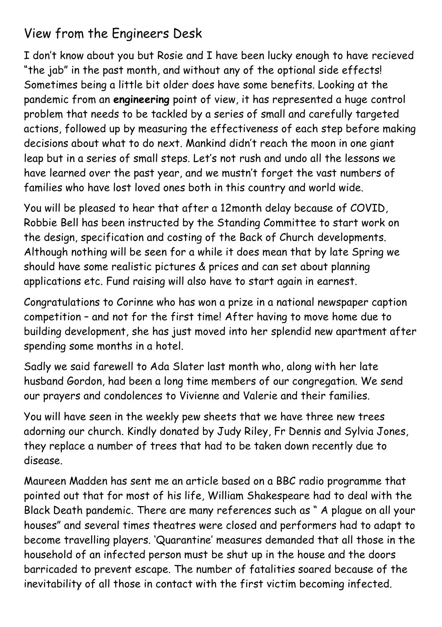## View from the Engineers Desk

I don't know about you but Rosie and I have been lucky enough to have recieved "the jab" in the past month, and without any of the optional side effects! Sometimes being a little bit older does have some benefits. Looking at the pandemic from an **engineering** point of view, it has represented a huge control problem that needs to be tackled by a series of small and carefully targeted actions, followed up by measuring the effectiveness of each step before making decisions about what to do next. Mankind didn't reach the moon in one giant leap but in a series of small steps. Let's not rush and undo all the lessons we have learned over the past year, and we mustn't forget the vast numbers of families who have lost loved ones both in this country and world wide.

You will be pleased to hear that after a 12month delay because of COVID, Robbie Bell has been instructed by the Standing Committee to start work on the design, specification and costing of the Back of Church developments. Although nothing will be seen for a while it does mean that by late Spring we should have some realistic pictures & prices and can set about planning applications etc. Fund raising will also have to start again in earnest.

Congratulations to Corinne who has won a prize in a national newspaper caption competition – and not for the first time! After having to move home due to building development, she has just moved into her splendid new apartment after spending some months in a hotel.

Sadly we said farewell to Ada Slater last month who, along with her late husband Gordon, had been a long time members of our congregation. We send our prayers and condolences to Vivienne and Valerie and their families.

You will have seen in the weekly pew sheets that we have three new trees adorning our church. Kindly donated by Judy Riley, Fr Dennis and Sylvia Jones, they replace a number of trees that had to be taken down recently due to disease.

Maureen Madden has sent me an article based on a BBC radio programme that pointed out that for most of his life, William Shakespeare had to deal with the Black Death pandemic. There are many references such as " A plague on all your houses" and several times theatres were closed and performers had to adapt to become travelling players. 'Quarantine' measures demanded that all those in the household of an infected person must be shut up in the house and the doors barricaded to prevent escape. The number of fatalities soared because of the inevitability of all those in contact with the first victim becoming infected.